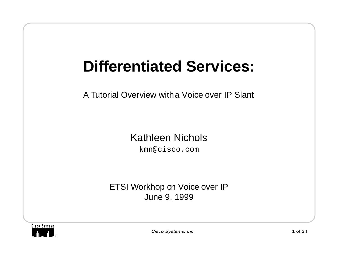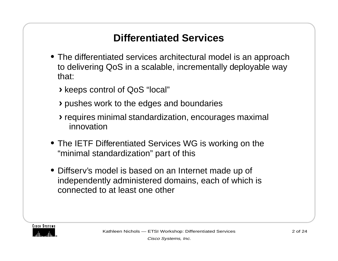## **Differentiated Services**

- **•** The differentiated services architectural model is an approach to delivering QoS in a scalable, incrementally deployable way that:
	- **›**keeps control of QoS "local"
	- **›**pushes work to the edges and boundaries
	- **›**requires minimal standardization, encourages maximal innovation
- **•** The IETF Differentiated Services WG is working on the "minimal standardization" part of this
- **•** Diffserv's model is based on an Internet made up of independently administered domains, each of which is connected to at least one other

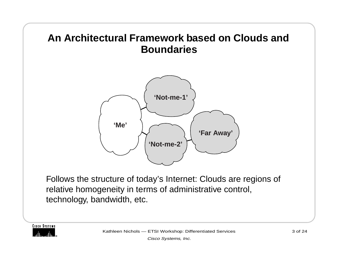# **An Architectural Framework based on Clouds and Boundaries'Me''Not-me-1''Not-me-2''Far Away'**

Follows the structure of today's Internet: Clouds are regions of relative homogeneity in terms of administrative control, technology, bandwidth, etc.

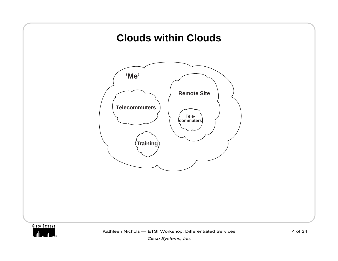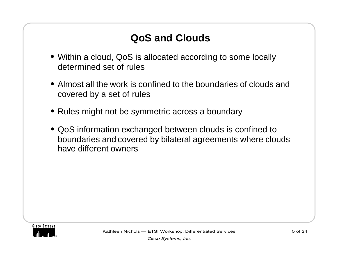# **QoS and Clouds**

- **•** Within a cloud, QoS is allocated according to some locally determined set of rules
- **•** Almost all the work is confined to the boundaries of clouds and covered by a set of rules
- **•** Rules might not be symmetric across a boundary
- **•** QoS information exchanged between clouds is confined to boundaries and covered by bilateral agreements where clouds have different owners

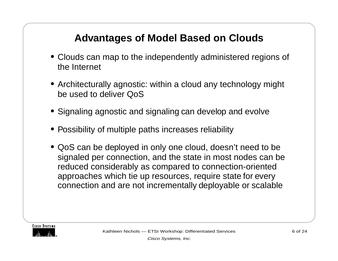## **Advantages of Model Based on Clouds**

- **•** Clouds can map to the independently administered regions of the Internet
- **•** Architecturally agnostic: within a cloud any technology might be used to deliver QoS
- **•** Signaling agnostic and signaling can develop and evolve
- **•** Possibility of multiple paths increases reliability
- **•** QoS can be deployed in only one cloud, doesn't need to be signaled per connection, and the state in most nodes can be reduced considerably as compared to connection-oriented approaches which tie up resources, require state for every connection and are not incrementally deployable or scalable

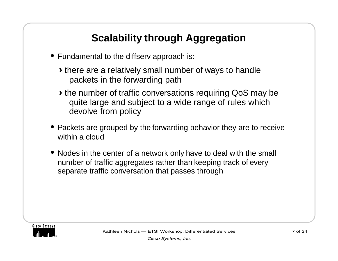# **Scalability through Aggregation**

- **•** Fundamental to the diffserv approach is:
	- **›**there are a relatively small number of ways to handle packets in the forwarding path
	- **›**the number of traffic conversations requiring QoS may be quite large and subject to a wide range of rules which devolve from policy
- **•** Packets are grouped by the forwarding behavior they are to receive within a cloud
- **•** Nodes in the center of a network only have to deal with the small number of traffic aggregates rather than keeping track of every separate traffic conversation that passes through

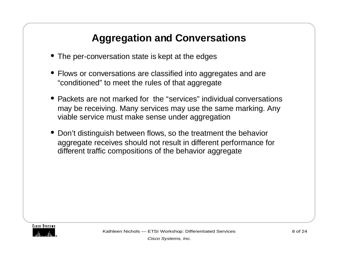## **Aggregation and Conversations**

- **•** The per-conversation state is kept at the edges
- **•** Flows or conversations are classified into aggregates and are "conditioned" to meet the rules of that aggregate
- **•** Packets are not marked for the "services" individual conversations may be receiving. Many services may use the same marking. Any viable service must make sense under aggregation
- **•** Don't distinguish between flows, so the treatment the behavior aggregate receives should not result in different performance for different traffic compositions of the behavior aggregate

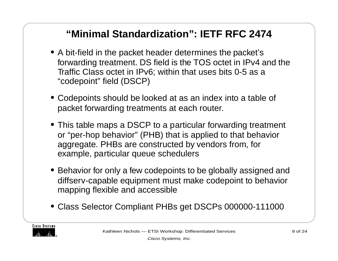#### **"Minimal Standardization": IETF RFC 2474**

- **•** A bit-field in the packet header determines the packet's forwarding treatment. DS field is the TOS octet in IPv4 and the Traffic Class octet in IPv6; within that uses bits 0-5 as a "codepoint" field (DSCP)
- **•** Codepoints should be looked at as an index into a table of packet forwarding treatments at each router.
- **•** This table maps a DSCP to a particular forwarding treatment or "per-hop behavior" (PHB) that is applied to that behavior aggregate. PHBs are constructed by vendors from, for example, particular queue schedulers
- **•** Behavior for only a few codepoints to be globally assigned and diffserv-capable equipment must make codepoint to behavior mapping flexible and accessible
- **•** Class Selector Compliant PHBs get DSCPs 000000-111000

**CISCO SYSTEMS**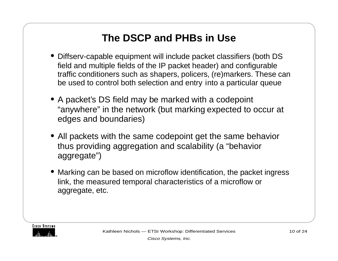## **The DSCP and PHBs in Use**

- **•** Diffserv-capable equipment will include packet classifiers (both DS field and multiple fields of the IP packet header) and configurable traffic conditioners such as shapers, policers, (re)markers. These can be used to control both selection and entry into a particular queue
- **•** A packet's DS field may be marked with a codepoint "anywhere" in the network (but marking expected to occur at edges and boundaries)
- **•** All packets with the same codepoint get the same behavior thus providing aggregation and scalability (a "behavior aggregate")
- **•** Marking can be based on microflow identification, the packet ingress link, the measured temporal characteristics of a microflow or aggregate, etc.

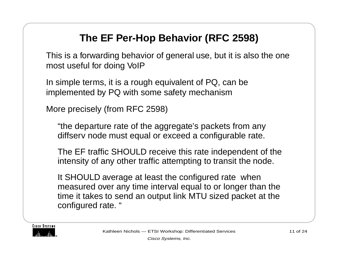# **The EF Per-Hop Behavior (RFC 2598)**

This is a forwarding behavior of general use, but it is also the one most useful for doing VoIP

In simple terms, it is a rough equivalent of PQ, can be implemented by PQ with some safety mechanism

More precisely (from RFC 2598)

"the departure rate of the aggregate's packets from any diffserv node must equal or exceed a configurable rate.

The EF traffic SHOULD receive this rate independent of the intensity of any other traffic attempting to transit the node.

It SHOULD average at least the configured rate when measured over any time interval equal to or longer than the time it takes to send an output link MTU sized packet at the configured rate. "

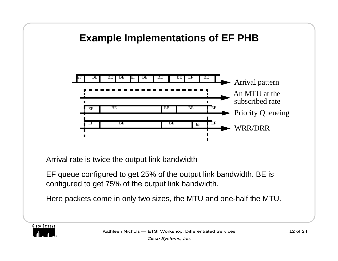#### **Example Implementations of EF PHB**



Arrival rate is twice the output link bandwidth

EF queue configured to get 25% of the output link bandwidth. BE is configured to get 75% of the output link bandwidth.

Here packets come in only two sizes, the MTU and one-half the MTU.

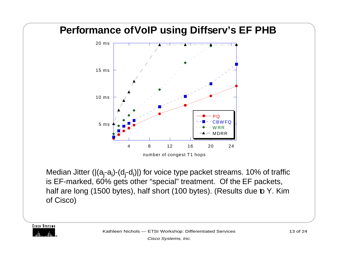

Median Jitter  $(|(a_i-a_i)-(d_i-d_i)|)$  for voice type packet streams. 10% of traffic is EF-marked, 60% gets other "special" treatment. Of the EF packets, half are long (1500 bytes), half short (100 bytes). (Results due to Y. Kim of Cisco)

**CISCO SYSTEMS**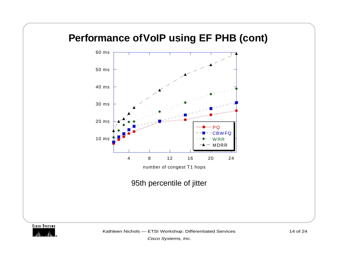#### **Performance of VoIP using EF PHB (cont)**



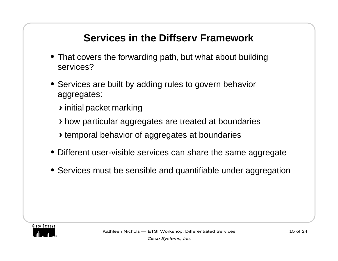# **Services in the Diffserv Framework**

- **•** That covers the forwarding path, but what about building services?
- **•** Services are built by adding rules to govern behavior aggregates:
	- **›**initial packet marking
	- **›**how particular aggregates are treated at boundaries
	- **›**temporal behavior of aggregates at boundaries
- **•** Different user-visible services can share the same aggregate
- **•** Services must be sensible and quantifiable under aggregation

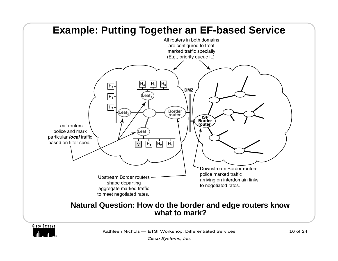



Kathleen Nichols — ETSI Workshop: Differentiated Services 16 of 24

Cisco Systems, Inc.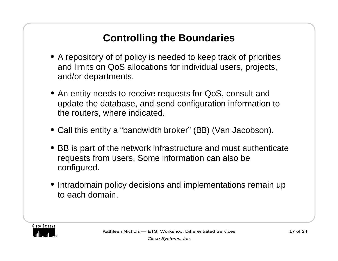# **Controlling the Boundaries**

- **•** A repository of of policy is needed to keep track of priorities and limits on QoS allocations for individual users, projects, and/or departments.
- **•** An entity needs to receive requests for QoS, consult and update the database, and send configuration information to the routers, where indicated.
- **•** Call this entity a "bandwidth broker" (BB) (Van Jacobson).
- **•** BB is part of the network infrastructure and must authenticate requests from users. Some information can also be configured.
- **•** Intradomain policy decisions and implementations remain up to each domain.

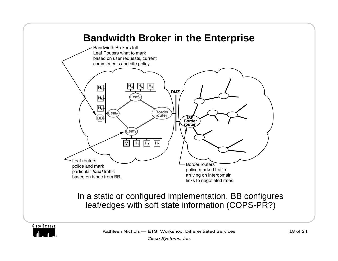

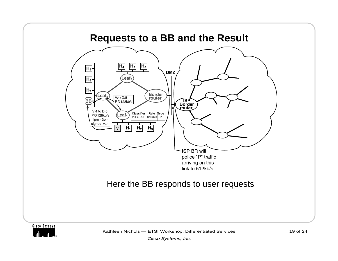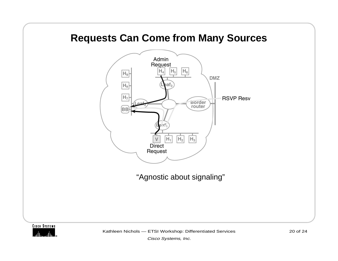#### **Requests Can Come from Many Sources**



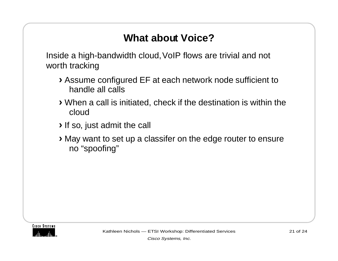## **What about Voice?**

Inside a high-bandwidth cloud, VoIP flows are trivial and not worth tracking

- **›**Assume configured EF at each network node sufficient to handle all calls
- **›**When a call is initiated, check if the destination is within the cloud
- **›**If so, just admit the call
- **›**May want to set up a classifer on the edge router to ensure no "spoofing"

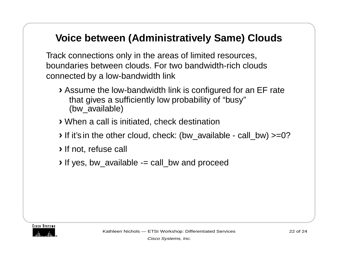#### **Voice between (Administratively Same) Clouds**

Track connections only in the areas of limited resources, boundaries between clouds. For two bandwidth-rich clouds connected by a low-bandwidth link

- **›**Assume the low-bandwidth link is configured for an EF rate that gives a sufficiently low probability of "busy" (bw\_available)
- **›**When a call is initiated, check destination
- **›**If it's in the other cloud, check: (bw\_available call\_bw) >=0?
- **›**If not, refuse call
- **›**If yes, bw\_available -= call\_bw and proceed

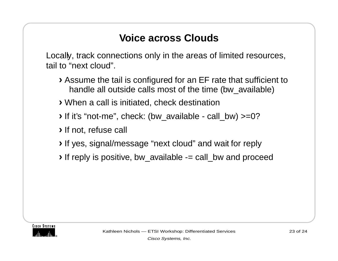#### **Voice across Clouds**

Locally, track connections only in the areas of limited resources, tail to "next cloud".

- **›**Assume the tail is configured for an EF rate that sufficient to handle all outside calls most of the time (bw\_available)
- **›**When a call is initiated, check destination
- **›**If it's "not-me", check: (bw\_available call\_bw) >=0?
- **›**If not, refuse call
- **›**If yes, signal/message "next cloud" and wait for reply
- **›**If reply is positive, bw\_available -= call\_bw and proceed